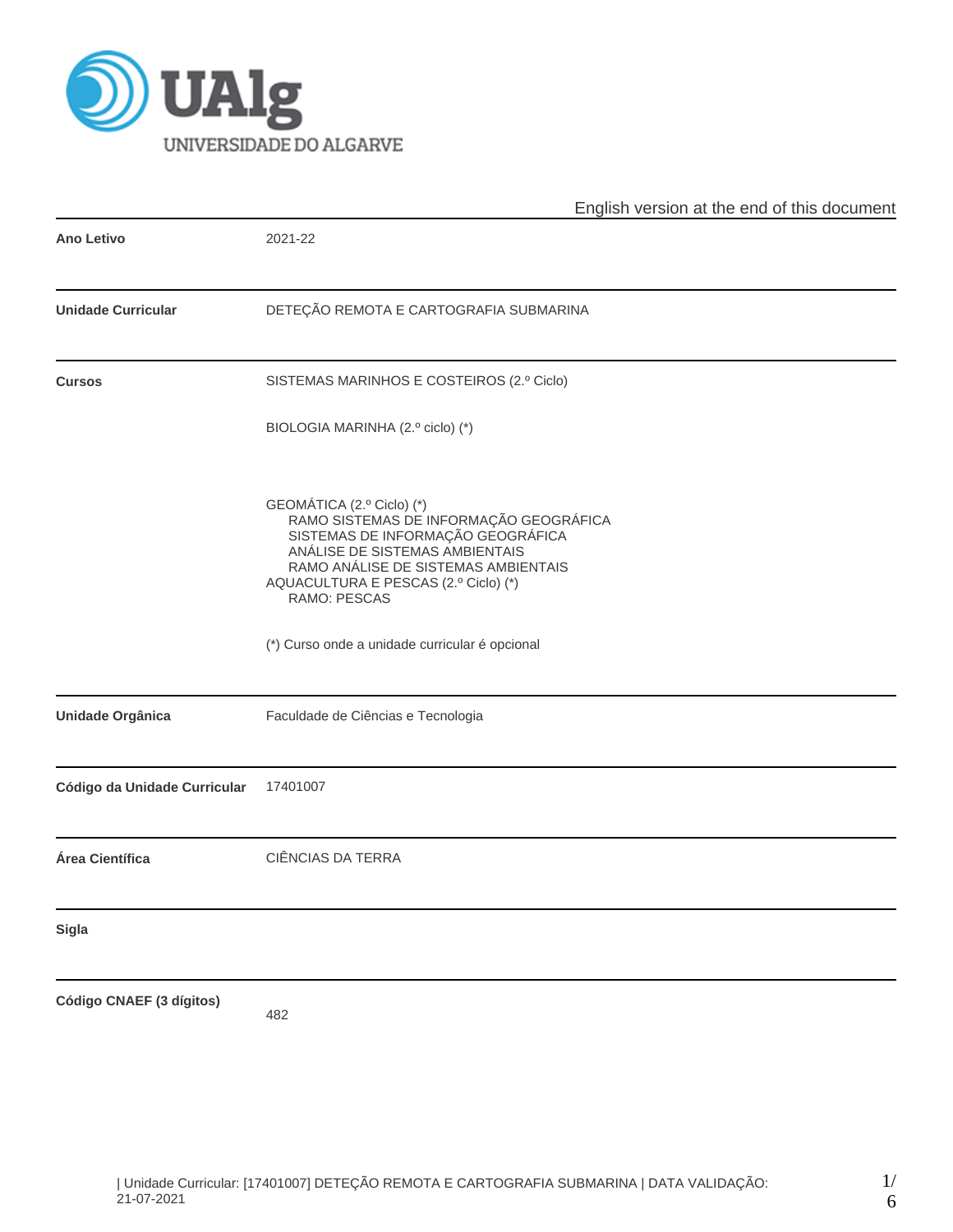

|                              | English version at the end of this document                                                                                                                                                                                               |  |  |  |  |  |  |
|------------------------------|-------------------------------------------------------------------------------------------------------------------------------------------------------------------------------------------------------------------------------------------|--|--|--|--|--|--|
| <b>Ano Letivo</b>            | 2021-22                                                                                                                                                                                                                                   |  |  |  |  |  |  |
| <b>Unidade Curricular</b>    | DETEÇÃO REMOTA E CARTOGRAFIA SUBMARINA                                                                                                                                                                                                    |  |  |  |  |  |  |
| <b>Cursos</b>                | SISTEMAS MARINHOS E COSTEIROS (2.º Ciclo)                                                                                                                                                                                                 |  |  |  |  |  |  |
|                              | BIOLOGIA MARINHA (2.º ciclo) (*)                                                                                                                                                                                                          |  |  |  |  |  |  |
|                              | GEOMÁTICA (2.º Ciclo) (*)<br>RAMO SISTEMAS DE INFORMAÇÃO GEOGRÁFICA<br>SISTEMAS DE INFORMAÇÃO GEOGRÁFICA<br>ANÁLISE DE SISTEMAS AMBIENTAIS<br>RAMO ANÁLISE DE SISTEMAS AMBIENTAIS<br>AQUACULTURA E PESCAS (2.º Ciclo) (*)<br>RAMO: PESCAS |  |  |  |  |  |  |
|                              | (*) Curso onde a unidade curricular é opcional                                                                                                                                                                                            |  |  |  |  |  |  |
| <b>Unidade Orgânica</b>      | Faculdade de Ciências e Tecnologia                                                                                                                                                                                                        |  |  |  |  |  |  |
| Código da Unidade Curricular | 17401007                                                                                                                                                                                                                                  |  |  |  |  |  |  |
| Área Científica              | <b>CIÊNCIAS DA TERRA</b>                                                                                                                                                                                                                  |  |  |  |  |  |  |
| Sigla                        |                                                                                                                                                                                                                                           |  |  |  |  |  |  |
| Código CNAEF (3 dígitos)     | 482                                                                                                                                                                                                                                       |  |  |  |  |  |  |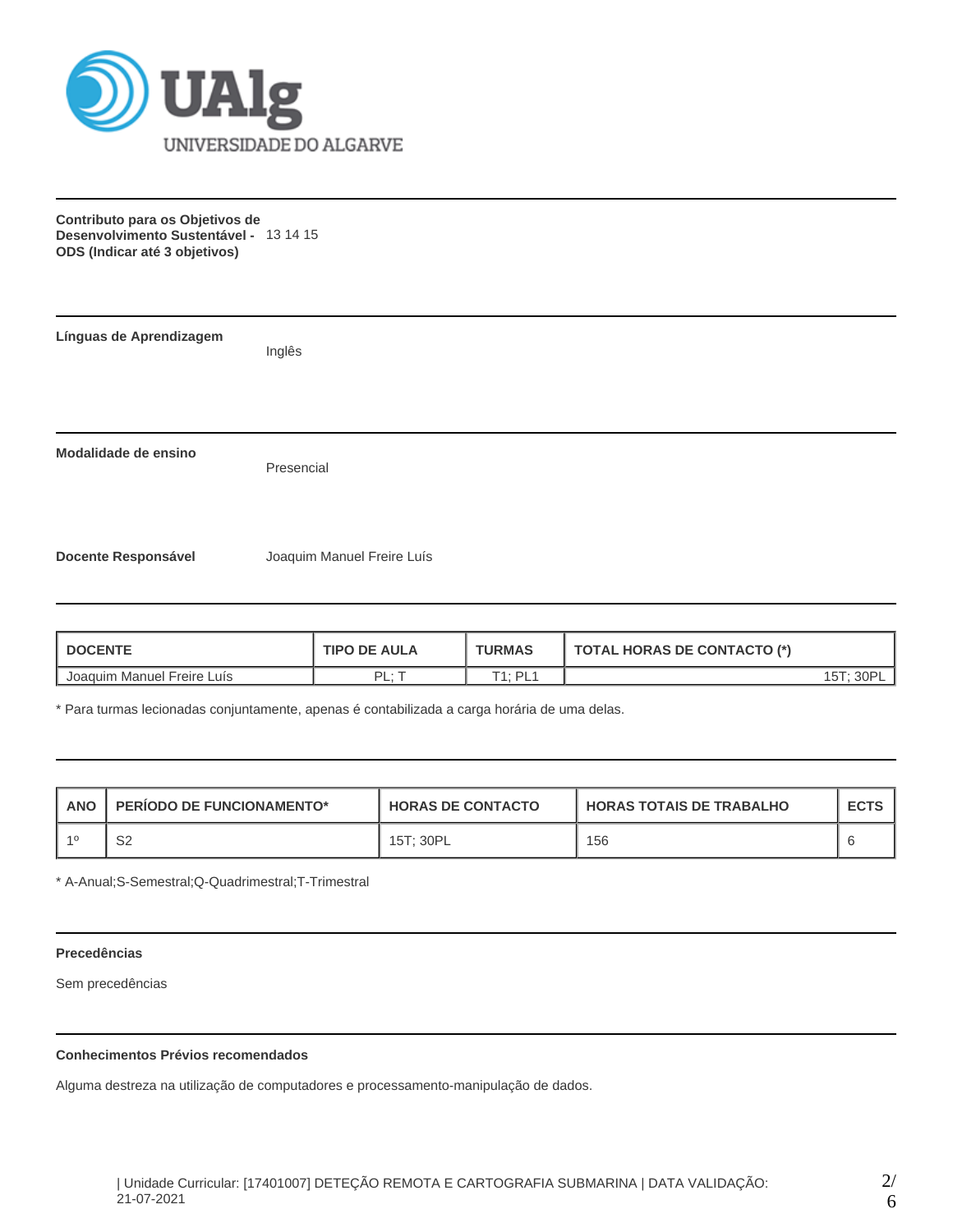

**Contributo para os Objetivos de Desenvolvimento Sustentável -** 13 14 15 **ODS (Indicar até 3 objetivos)**

| Línguas de Aprendizagem    | Inglês                     |
|----------------------------|----------------------------|
| Modalidade de ensino       | Presencial                 |
| <b>Docente Responsável</b> | Joaquim Manuel Freire Luís |

| <b>DOCENTE</b>             | <b>TIPO DE AULA</b> | <b>TURMAS</b>         | <b>TOTAL HORAS DE CONTACTO (*)</b> |
|----------------------------|---------------------|-----------------------|------------------------------------|
| Joaquim Manuel Freire Luís | י ום ּ<br>. .       | T1 · DI 1<br><u>_</u> | 30P                                |

\* Para turmas lecionadas conjuntamente, apenas é contabilizada a carga horária de uma delas.

| <b>ANO</b> | <b>PERIODO DE FUNCIONAMENTO*</b> | <b>HORAS DE CONTACTO</b> | I HORAS TOTAIS DE TRABALHO | <b>ECTS</b> |
|------------|----------------------------------|--------------------------|----------------------------|-------------|
|            | S2                               | 15T: 30PL                | 156                        |             |

\* A-Anual;S-Semestral;Q-Quadrimestral;T-Trimestral

### **Precedências**

Sem precedências

## **Conhecimentos Prévios recomendados**

Alguma destreza na utilização de computadores e processamento-manipulação de dados.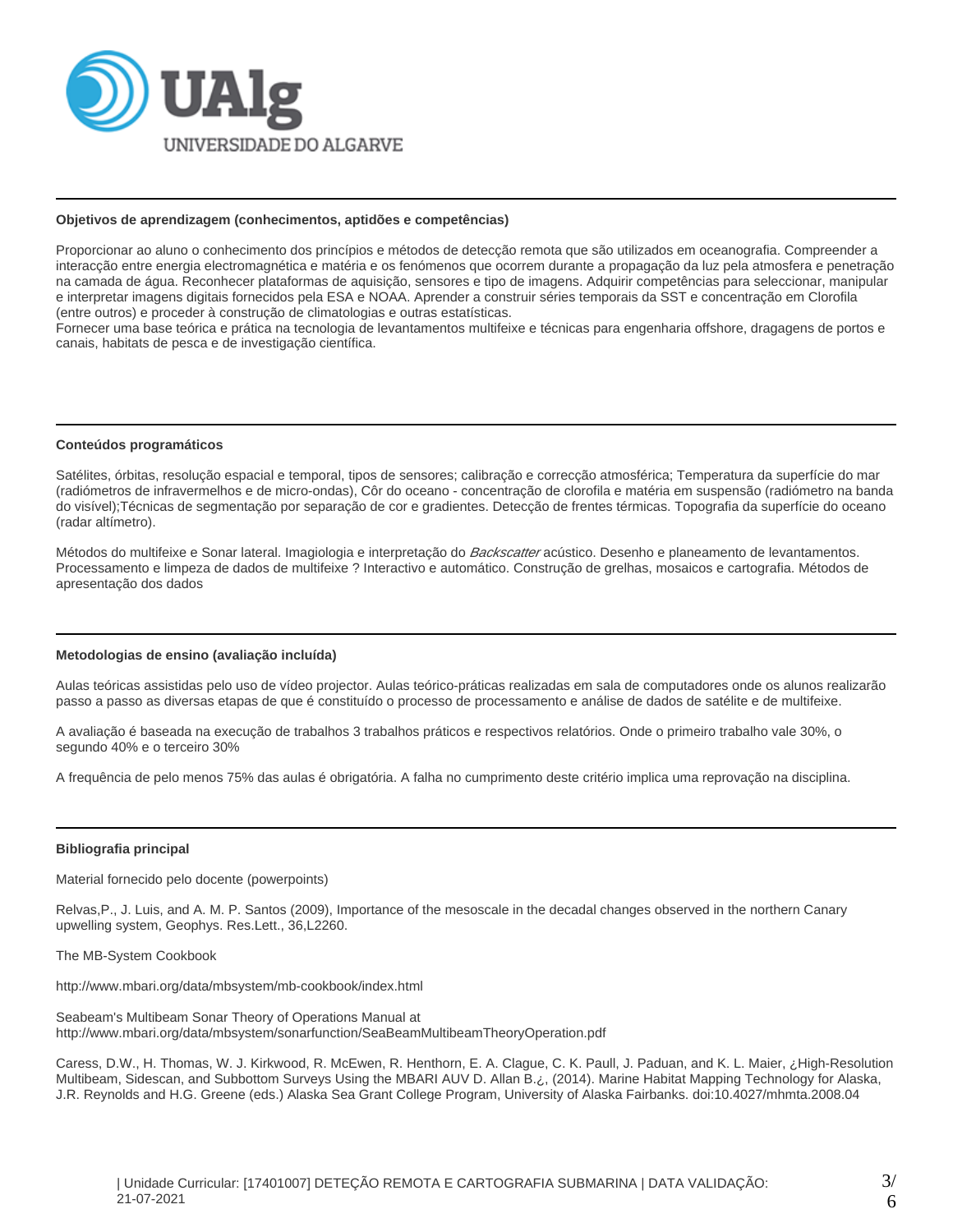

#### **Objetivos de aprendizagem (conhecimentos, aptidões e competências)**

Proporcionar ao aluno o conhecimento dos princípios e métodos de detecção remota que são utilizados em oceanografia. Compreender a interacção entre energia electromagnética e matéria e os fenómenos que ocorrem durante a propagação da luz pela atmosfera e penetração na camada de água. Reconhecer plataformas de aquisição, sensores e tipo de imagens. Adquirir competências para seleccionar, manipular e interpretar imagens digitais fornecidos pela ESA e NOAA. Aprender a construir séries temporais da SST e concentração em Clorofila (entre outros) e proceder à construção de climatologias e outras estatísticas.

Fornecer uma base teórica e prática na tecnologia de levantamentos multifeixe e técnicas para engenharia offshore, dragagens de portos e canais, habitats de pesca e de investigação científica.

### **Conteúdos programáticos**

Satélites, órbitas, resolução espacial e temporal, tipos de sensores; calibração e correcção atmosférica; Temperatura da superfície do mar (radiómetros de infravermelhos e de micro-ondas), Côr do oceano - concentração de clorofila e matéria em suspensão (radiómetro na banda do visível);Técnicas de segmentação por separação de cor e gradientes. Detecção de frentes térmicas. Topografia da superfície do oceano (radar altímetro).

Métodos do multifeixe e Sonar lateral. Imagiologia e interpretação do *Backscatter* acústico. Desenho e planeamento de levantamentos. Processamento e limpeza de dados de multifeixe ? Interactivo e automático. Construção de grelhas, mosaicos e cartografia. Métodos de apresentação dos dados

### **Metodologias de ensino (avaliação incluída)**

Aulas teóricas assistidas pelo uso de vídeo projector. Aulas teórico-práticas realizadas em sala de computadores onde os alunos realizarão passo a passo as diversas etapas de que é constituído o processo de processamento e análise de dados de satélite e de multifeixe.

A avaliação é baseada na execução de trabalhos 3 trabalhos práticos e respectivos relatórios. Onde o primeiro trabalho vale 30%, o segundo 40% e o terceiro 30%

A frequência de pelo menos 75% das aulas é obrigatória. A falha no cumprimento deste critério implica uma reprovação na disciplina.

#### **Bibliografia principal**

Material fornecido pelo docente (powerpoints)

Relvas,P., J. Luis, and A. M. P. Santos (2009), Importance of the mesoscale in the decadal changes observed in the northern Canary upwelling system, Geophys. Res.Lett., 36,L2260.

The MB-System Cookbook

http://www.mbari.org/data/mbsystem/mb-cookbook/index.html

Seabeam's Multibeam Sonar Theory of Operations Manual at http://www.mbari.org/data/mbsystem/sonarfunction/SeaBeamMultibeamTheoryOperation.pdf

Caress, D.W., H. Thomas, W. J. Kirkwood, R. McEwen, R. Henthorn, E. A. Clague, C. K. Paull, J. Paduan, and K. L. Maier, ¿High-Resolution Multibeam, Sidescan, and Subbottom Surveys Using the MBARI AUV D. Allan B.¿, (2014). Marine Habitat Mapping Technology for Alaska, J.R. Reynolds and H.G. Greene (eds.) Alaska Sea Grant College Program, University of Alaska Fairbanks. doi:10.4027/mhmta.2008.04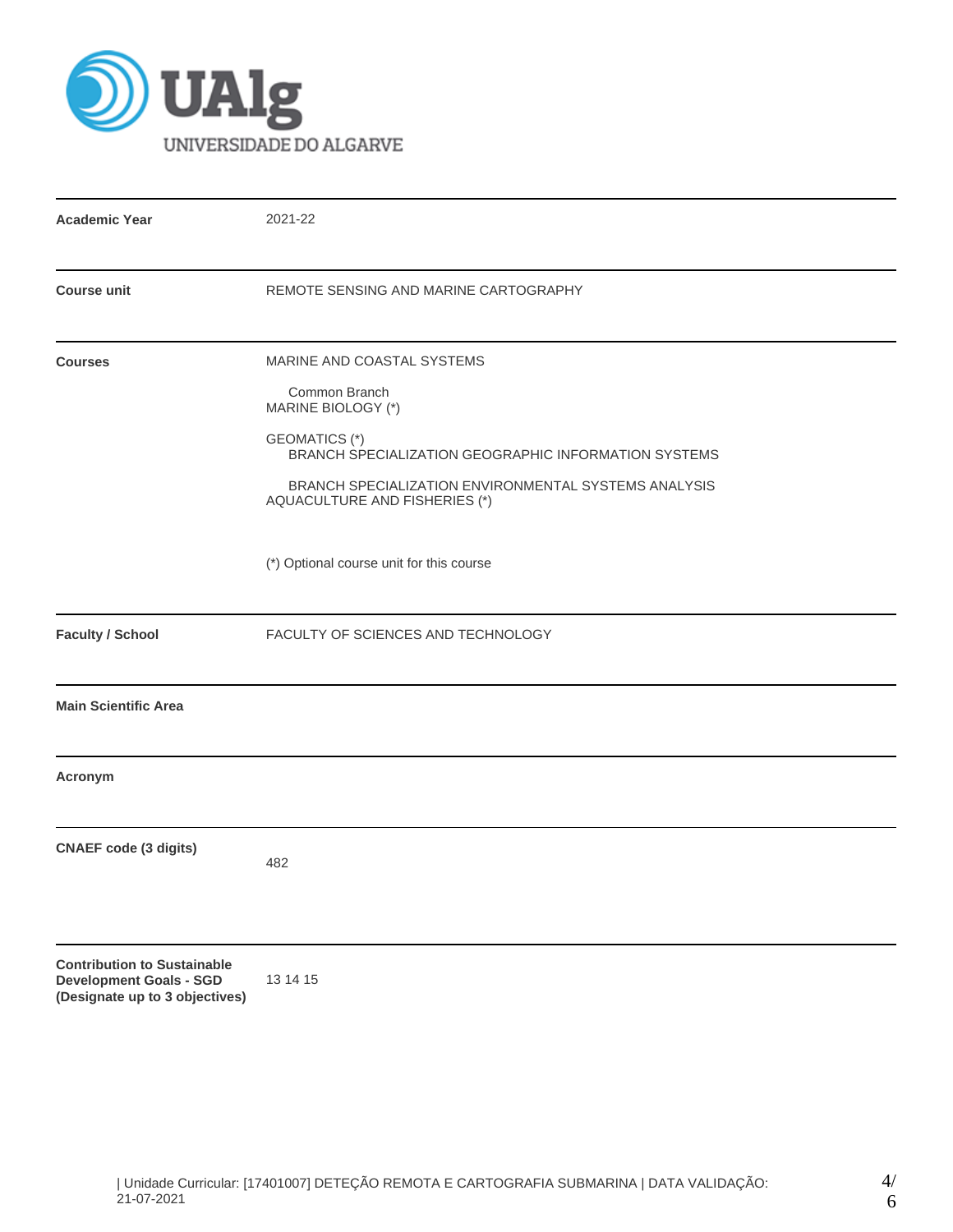

| <b>Academic Year</b>                                                                                   | 2021-22                                                                                                                                                                                                                                    |
|--------------------------------------------------------------------------------------------------------|--------------------------------------------------------------------------------------------------------------------------------------------------------------------------------------------------------------------------------------------|
| <b>Course unit</b>                                                                                     | REMOTE SENSING AND MARINE CARTOGRAPHY                                                                                                                                                                                                      |
| <b>Courses</b>                                                                                         | MARINE AND COASTAL SYSTEMS<br>Common Branch<br>MARINE BIOLOGY (*)<br>GEOMATICS (*)<br><b>BRANCH SPECIALIZATION GEOGRAPHIC INFORMATION SYSTEMS</b><br>BRANCH SPECIALIZATION ENVIRONMENTAL SYSTEMS ANALYSIS<br>AQUACULTURE AND FISHERIES (*) |
|                                                                                                        | (*) Optional course unit for this course                                                                                                                                                                                                   |
| <b>Faculty / School</b>                                                                                | FACULTY OF SCIENCES AND TECHNOLOGY                                                                                                                                                                                                         |
| <b>Main Scientific Area</b>                                                                            |                                                                                                                                                                                                                                            |
| Acronym                                                                                                |                                                                                                                                                                                                                                            |
| <b>CNAEF code (3 digits)</b>                                                                           | 482                                                                                                                                                                                                                                        |
| <b>Contribution to Sustainable</b><br><b>Development Goals - SGD</b><br>(Designate up to 3 objectives) | 13 14 15                                                                                                                                                                                                                                   |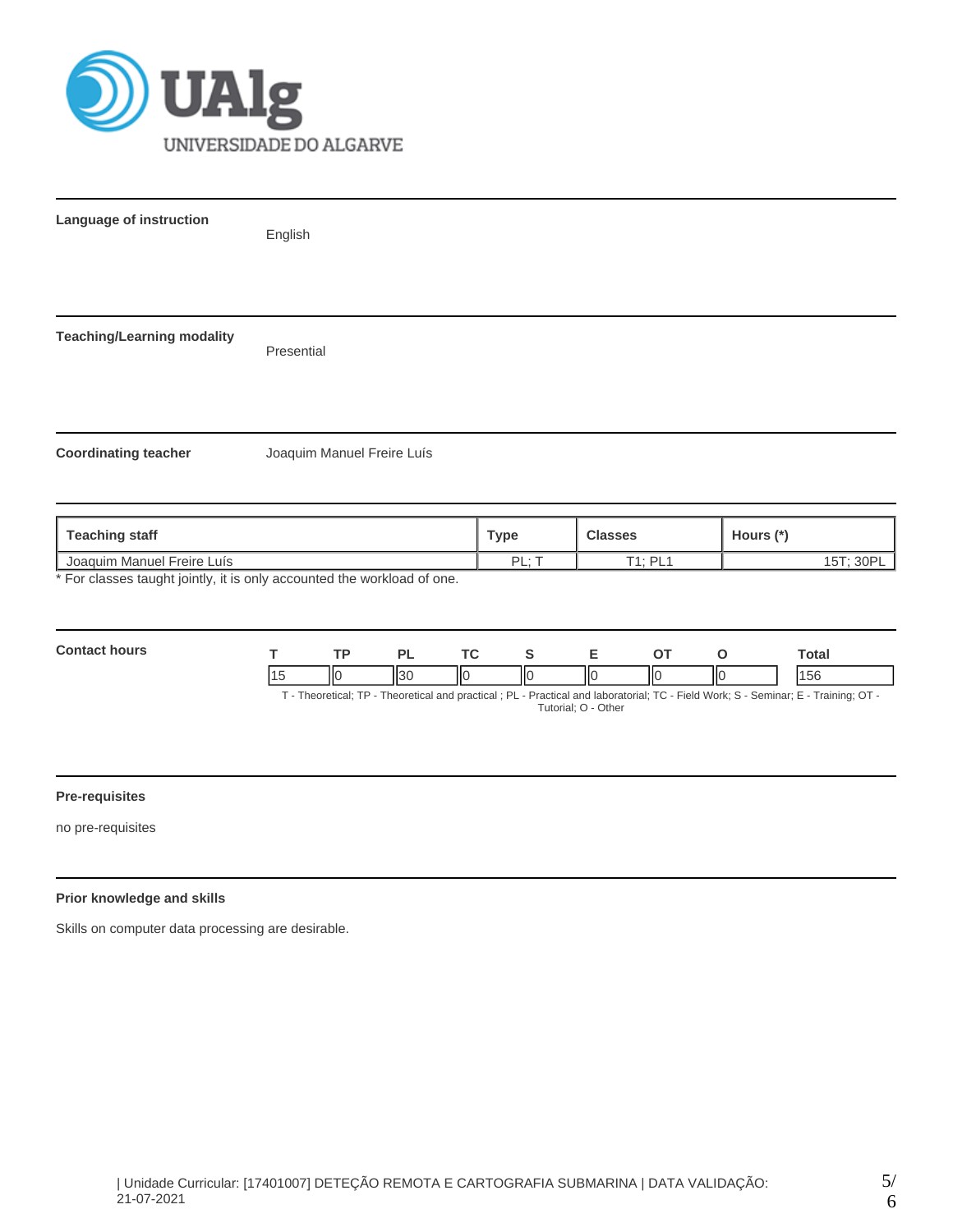

| Language of instruction           | English                                                                 |             |                |           |  |  |  |
|-----------------------------------|-------------------------------------------------------------------------|-------------|----------------|-----------|--|--|--|
|                                   |                                                                         |             |                |           |  |  |  |
| <b>Teaching/Learning modality</b> | Presential                                                              |             |                |           |  |  |  |
|                                   |                                                                         |             |                |           |  |  |  |
| <b>Coordinating teacher</b>       | Joaquim Manuel Freire Luís                                              |             |                |           |  |  |  |
|                                   |                                                                         |             |                |           |  |  |  |
| <b>Teaching staff</b>             |                                                                         | <b>Type</b> | <b>Classes</b> | Hours (*) |  |  |  |
| Joaquim Manuel Freire Luís        |                                                                         | PL; T       | <b>T1; PL1</b> | 15T; 30PL |  |  |  |
|                                   | * For classes taught jointly, it is only accounted the workload of one. |             |                |           |  |  |  |

| <b>Contact hours</b>                                                                                                               |  | тo |  |     |  |     |  | Total |
|------------------------------------------------------------------------------------------------------------------------------------|--|----|--|-----|--|-----|--|-------|
|                                                                                                                                    |  |    |  | IІC |  | ll( |  | 156   |
| T - Theoretical; TP - Theoretical and practical; PL - Practical and laboratorial; TC - Field Work; S - Seminar; E - Training; OT - |  |    |  |     |  |     |  |       |

# Tutorial; O - Other

# **Pre-requisites**

no pre-requisites

# **Prior knowledge and skills**

Skills on computer data processing are desirable.